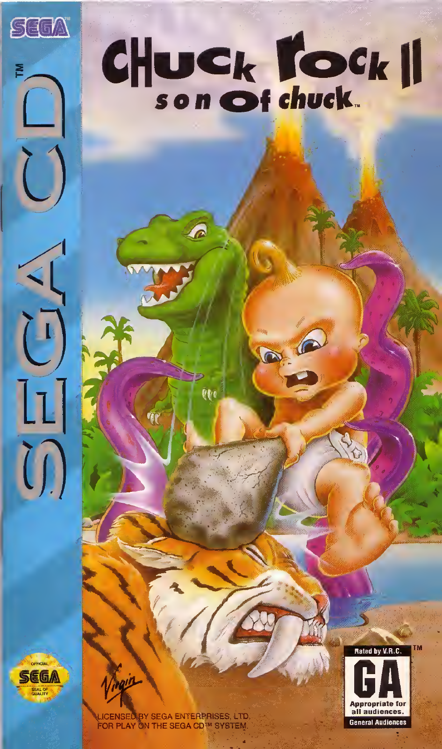### CHUCK TOCK

a 1

i i

SEGA

 $\widehat{\Box}$ 

 $\begin{bmatrix} 1 \end{bmatrix}$ 

LL<sup>T</sup>

 $\bigcap$ 

**JBY SEGA ENTERPRISES, LTD** FOR PLAY ON THE SEGA CD<sup>5M</sup> SYSTEM

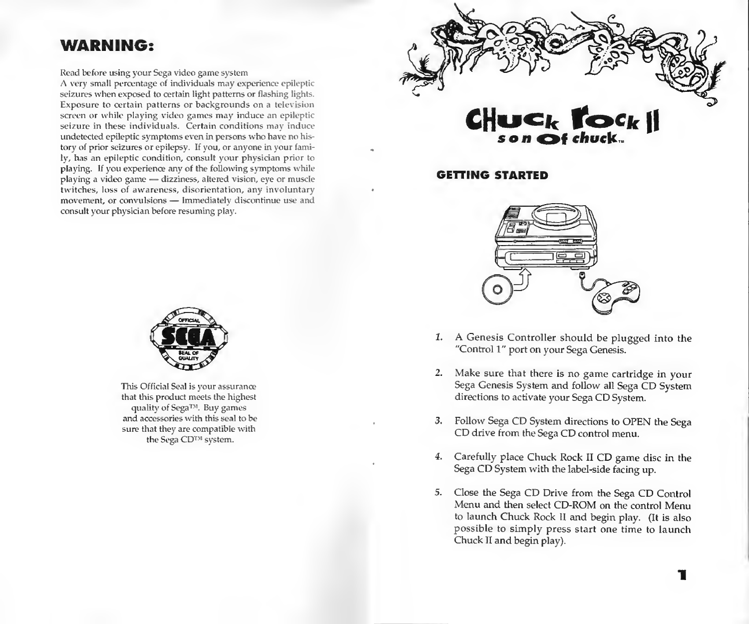### WARNING:

Read before using your Sega video game system

A very small percentage of individuals may experience epileptic seizures when exposed to certain light patterns or flashing lights. Exposure to certain patterns or backgrounds on a television screen or while playing video games may induce an epileptic seizure in these individuals. Certain conditions may induce undetected epileptic symptoms even in persons who have no history of prior seizures or epilepsy. If you, or anyone in your family, has an epileptic condition, consult your physician prior to playing. If you experience any of the following symptoms while playing a video game — dizziness, altered vision, eye or muscle twitches, loss of awareness, disorientation, any involuntary movement, or convulsions — Immediately discontinue use and consult your physician before resuming play.



This Official Seal is your assurance that this product meets the highest quality of Sega<sup>TM</sup>. Buy games and accessories with this seal to be sure that they are compatible with the Sega CD<sup>TM</sup> system.



**GETTING STARTED** 



- 1. A Genesis Controller should be plugged into the "Control 1" port on your Sega Genesis.
- 2. Make sure that there is no game cartridge in your Sega Genesis System and follow all Sega CD System directions to activate your Sega CD System.
- 3. Follow Sega CD System directions to OPEN the Sega CD drive from the Sega CD control menu.
- 4. Carefully place Chuck Rock II CD game disc in the Sega CD System with the label-side facing up.
- 5. Close the Sega CD Drive from the Sega CD Control Menu and then select CD-ROM on the control Menu to launch Chuck Rock II and begin play. (It is also possible to simply press start one time to launch Chuck FI and begin play).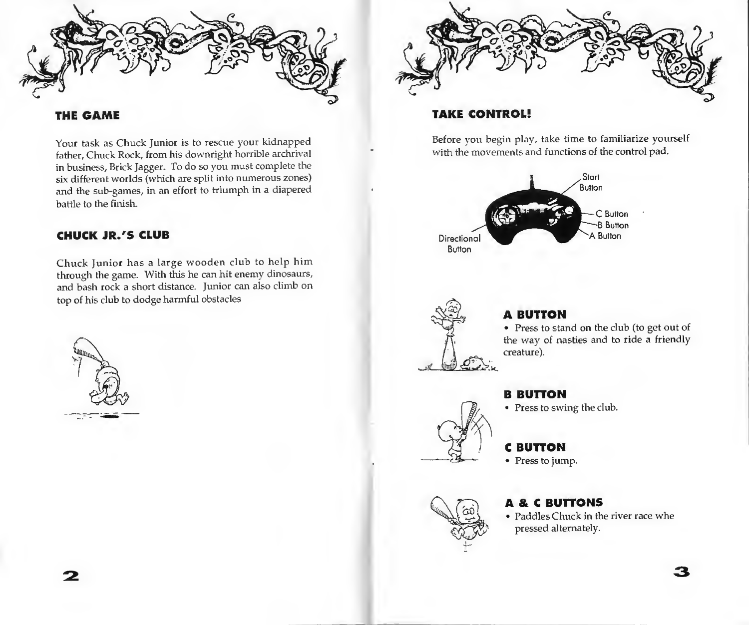

### THE GAME

Your task as Chuck Junior is to rescue your kidnapped father. Chuck Rock, from his downright horrible archrival in business. Brick Jagger. To do so you must complete the six different worlds (which are split into numerous zones) and the sub-games, in an effort to triumph in a diapered battle to the finish.

### CHUCK JR.'S CLUB

Chuck Junior has a large wooden club to help him through the game. With this he can hit enemy dinosaurs, and bash rock a short distance. Junior can also climb on top of his club to dodge harmful obstacles





### TAKE CONTROL!

Before you begin play, take time to familiarize yourself with the movements and functions of the control pad.





### A BUTTON

• Press to stand on the club (to get out of the way of nasties and to ride a friendly creature).



• Press to swing the club.

C BUTTON

• Press to jump.

### A & C BUTTONS

• Paddles Chuck in the river race whe pressed alternately.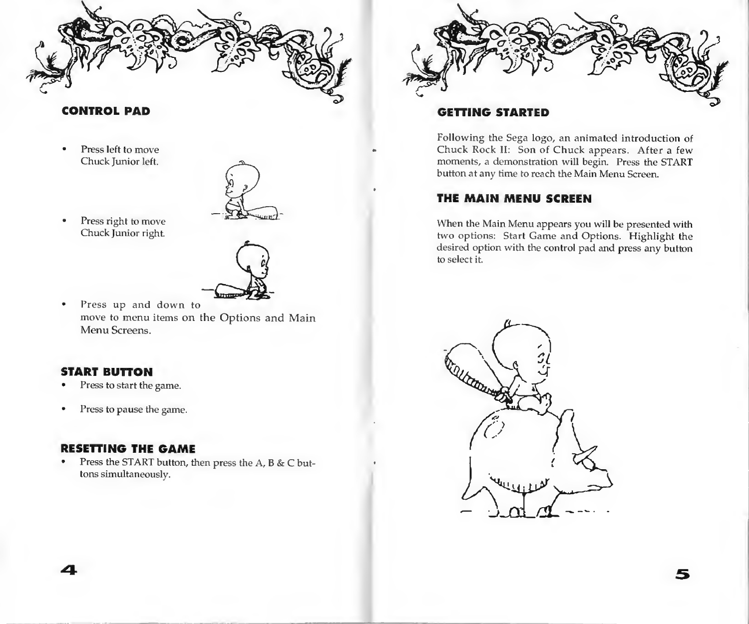

• Press right to move Chuck Junior right.



• Press up and down to move to menu items on the Options and Main Menu Screens.

### START BUTTON

- Press to start the game.
- Press to pause the game.

### RESETTING THE GAME

• Press the START button, then press the A, B & C buttons simultaneously.



### GETTING STARTED

Following the Sega logo, an animated introduction of Chuck Rock II: Son of Chuck appears. After a few moments, a demonstration will begin. Press the START button at any time to reach the Main Menu Screen.

### THE MAIN MENU SCREEN

When the Main Menu appears you will be presented with two options: Start Game and Options. Highlight the desired option with the control pad and press any button to select it.

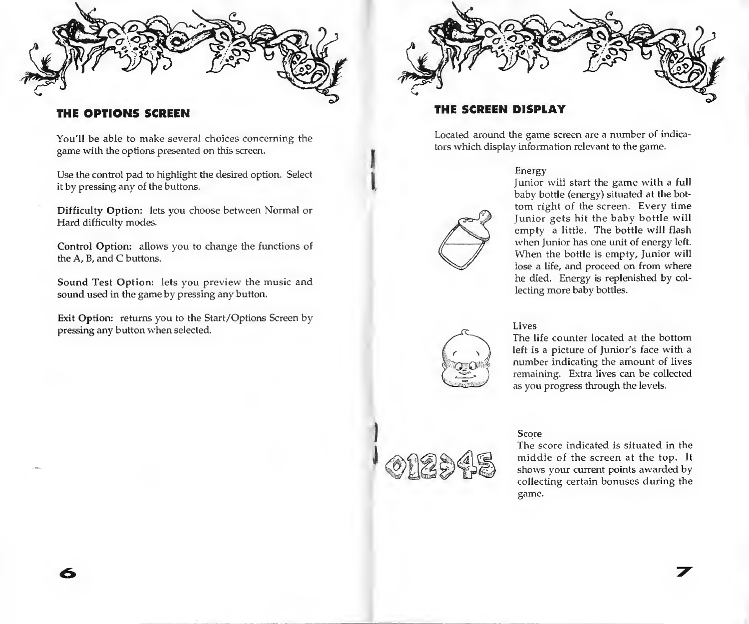

You'll be able to make several choices concerning the game with the options presented on this screen.

Use the control pad to highlight the desired option. Select it by pressing any of the buttons.

Difficulty Option: lets you choose between Normal or Hard difficulty modes.

Control Option: allows you to change the functions of the A, B, and C buttons.

Sound Test Option: lets you preview the music and sound used in the game by pressing any button.

Exit Option: returns you to the Start/Options Screen by  $\frac{1}{2}$  pressing any button when selected. Lives



### THE OPTIONS SCREEN THE SCREEN DISPLAY

Located around the game screen are a number of indicators which display information relevant to the game.

### Energy



Junior will start the game with a full baby bottle (energy) situated at the bottom right of the screen. Every time Junior gets hit the baby bottle will empty a little. The bottle will flash when Junior has one unit of energy left. When the bottle is empty. Junior will lose a life, and proceed on from where he died. Energy is replenished by collecting more baby bottles.

The life counter located at the bottom left is a picture of Junior's face with a number indicating the amount of lives remaining. Extra lives can be collected as you progress through the levels.

### Score

The score indicated is situated in the middle of the screen at the top. It shows your current points awarded by collecting certain bonuses during the game.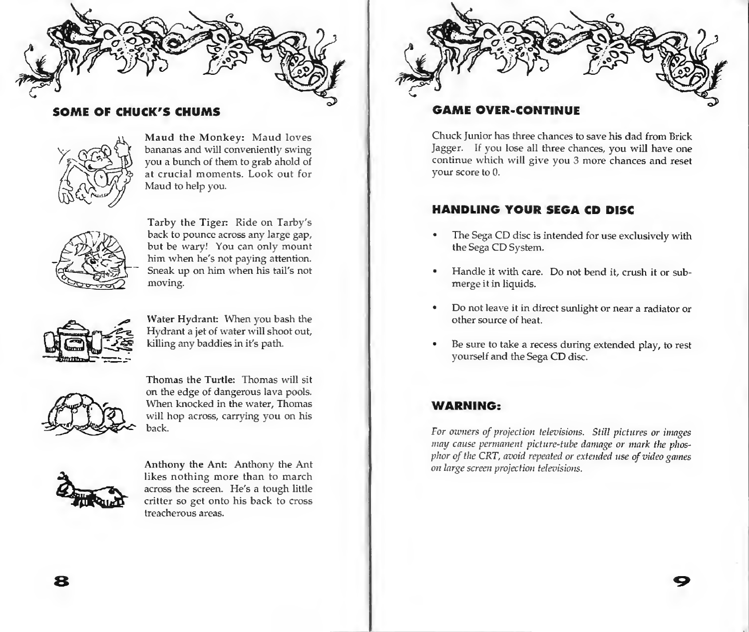

### SOME OF CHUCK'S CHUMS



Maud the Monkey: Maud loves bananas and will conveniently swing you a bunch of them to grab ahold of at crucial moments. Look out for Maud to help you.



Tarby the Tiger: Ride on Tarby's back to pounce across any large gap, but be wary! You can only mount him when he's not paying attention. Sneak up on him when his tail's not moving.



Water Hydrant: When you bash the Hydrant a jet of water will shoot out, killing any baddies in it's path.



Thomas the Turtle: Thomas will sit on the edge of dangerous lava pools. When knocked in the water, Thomas will hop across, carrying you on his back.



Anthony the Ant: Anthony the Ant likes nothing more than to march across the screen. He's a tough little critter so get onto his back to cross treacherous areas.



### GAME OVER-CONTINUE

Chuck Junior has three chances to save his dad from Brick Jagger. If you lose all three chances, you will have one continue which will give you 3 more chances and reset your score to 0.

### HANDLING YOUR SEGA CD DISC

- The Sega CD disc is intended for use exclusively with the Sega CD System.
- Handle it with care. Do not bend it, crush it or submerge it in liquids.
- Do not leave it in direct sunlight or near a radiator or other source of heat.
- Be sure to take a recess during extended play, to rest yourself and the Sega CD disc.

### WARNING:

For owners of projection televisions. Still pictures or images may cause permanent picture-tube damage or mark the phosphor of the CRT, avoid repeated or extended use of video games on large screen projection televisions.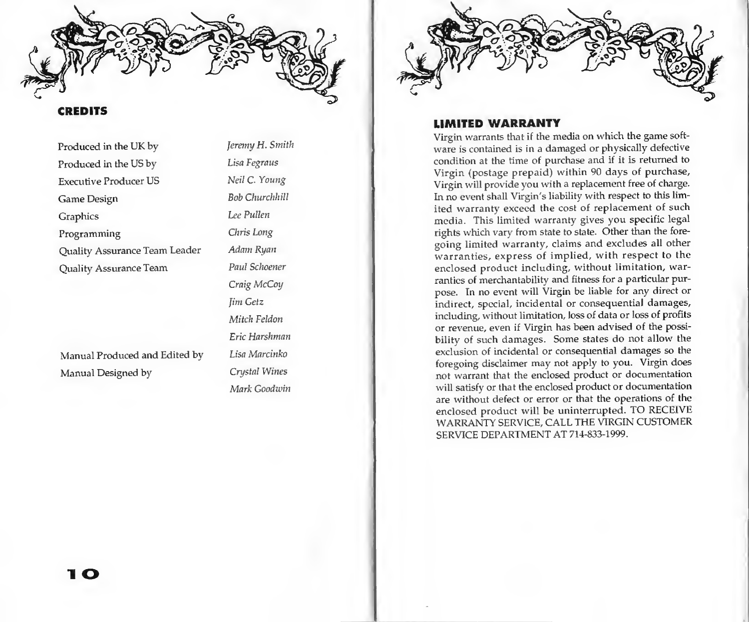

### **CREDITS**

Produced in the UK by *Jeremy H. Smith* Produced in the US by Lisa Fegraus Executive Producer US Neil C. Young Game Design Bob Churchhill Graphics Lee Pullen Programming Chris Long Quality Assurance Team Leader Adam Ryan Quality Assurance Team Paul Schoener

Manual Produced and Edited by Lisa Marcinko Manual Designed by Crystal Wines

Craig McCoy Jim Getz Mitch Feldon Eric Harshman Mark Goodwin



### LIMITED WARRANTY

Virgin warrants that if the media on which the game software is contained is in a damaged or physically defective condition at the time of purchase and if it is returned to Virgin (postage prepaid) within 90 days of purchase. Virgin will provide you with a replacement free of charge. In no event shall Virgin's liability with respect to this lim ited warranty exceed the cost of replacement of such media. This limited warranty gives you specific legal rights which vary from state to state. Other than the foregoing limited warranty, claims and excludes all other warranties, express of implied, with respect to the enclosed product including, without limitation, warranties of merchantability and fitness for a particular purpose. In no event will Virgin be liable for any direct or indirect, special, incidental or consequential damages, including, without limitation, loss of data or loss of profits or revenue, even if Virgin has been advised of the possibility of such damages. Some states do not allow the exclusion of incidental or consequential damages so the foregoing disclaimer may not apply to you. Virgin does not warrant that the enclosed product or documentation will satisfy or that the enclosed product or documentation are without defect or error or that the operations of the enclosed product will be uninterrupted. TO RECEIVE WARRANTY SERVICE, CALL THE VIRGIN CUSTOMER SERVICE DEPARTMENT AT 714-833-1999.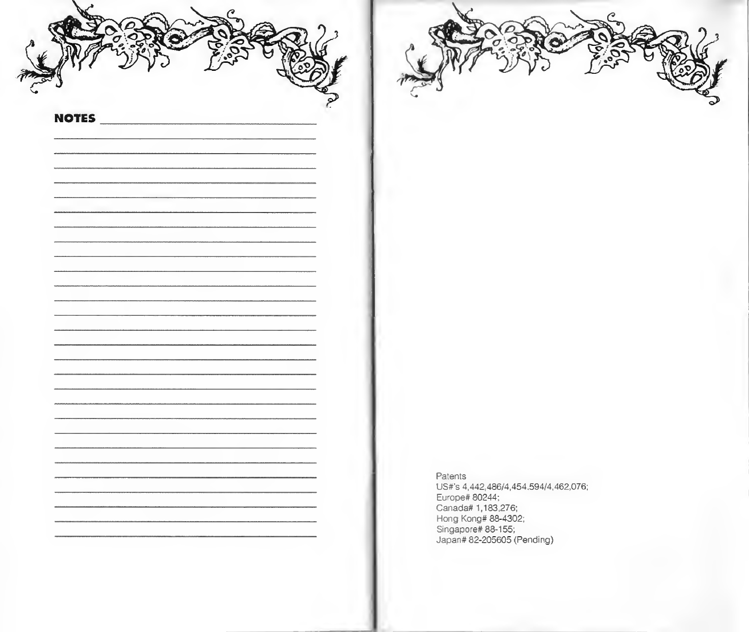**NOTES** 

Patents US#'s 4,442,486/4,454.594/4,462,076; Europe# 80244; Canada# 1,183,276; Hong Kong# 88-4302; Singapore# 88-155; Japan# 82-205605 (Pending)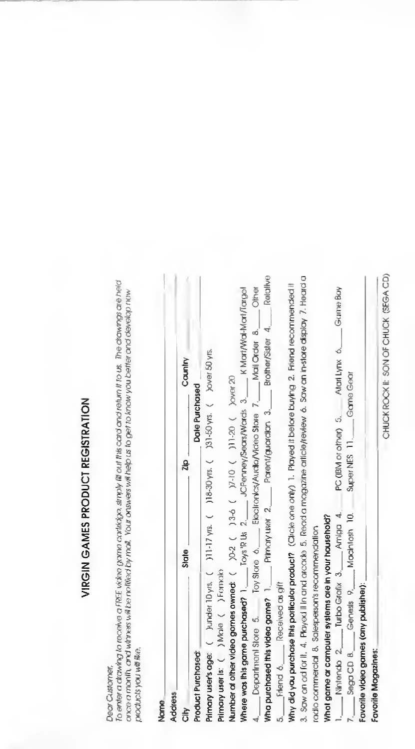## VIRGIN GAMES PRODUCT REGISTRATION

### Dear Customer,

To enter a drawing to recoive a FREE video game cartidge, striply @ out this card and return it to us. The drawings are held once a month, and whiness will be notified by mall. Your ortswers will help us to get to know you better and develop now. products you will like. ï ï

| <b>Address</b><br>Name                                                                                                                                                                                                         |       |                                    |          |
|--------------------------------------------------------------------------------------------------------------------------------------------------------------------------------------------------------------------------------|-------|------------------------------------|----------|
| 릉                                                                                                                                                                                                                              | State | 2lp                                | Country  |
| Product Purchased:                                                                                                                                                                                                             |       | Date Purchased                     |          |
| Primary user's age: ( ) under 10 yrs. ( ) 18-30 yrs. ( ) 31-50 yrs. ( ) 20-90 yrs.<br>Primary user is: ( ) Moie ( ) Female                                                                                                     |       |                                    |          |
| Number at other video gomes owned: ( ) 3-6 ( ) 3-6 ( ) 7-10 ( ) 11-20 ( ) bover 20                                                                                                                                             |       |                                    |          |
| Where was this game purchased? 1. I Cys' It Us 2. UCPenney/Sears/Wards 3. Kill Kill Mari/Target/Target                                                                                                                         |       |                                    |          |
| 4. September of Sore State State State State State of All Chernal Chernal Chernal Chernal Chernal Chernal Chernal Chernal Chernal Chernal Chernal Chernal Chernal Chernal Chernal Chernal Chernal Chernal Chernal Chernal Cher |       |                                    |          |
| Wha purchased this video game? $1.$ Pirmary user $2$ ____ Parent/guardian $3.$ ____ Brother/Sister $4.$ ____ Reigh                                                                                                             |       |                                    |          |
| 5. Friend 6. Received as gift                                                                                                                                                                                                  |       |                                    |          |
| Why did you purchase this porticular product? (Circle and a Piayed it before buying 2. Friend recommended it                                                                                                                   |       |                                    |          |
| 3. Saw an ad for it, 4. Played II in and arcade 5. Read a magazine article/review 6. Saw an in-stare aspiay 7. Head                                                                                                            |       |                                    |          |
| radio commercial 8. Salesperson's recommendation                                                                                                                                                                               |       |                                    |          |
| Whot game ar campuler systems are in your hausehold?                                                                                                                                                                           |       |                                    |          |
| 1. Nintendo 2. Turbo Grafix 3. Amiga 4.                                                                                                                                                                                        |       | PC (IBM or other) 5. Atail Lynx 6. | Game Boy |
| 7. Sega CD 8. Ceness 9. Machtosh 10.                                                                                                                                                                                           |       | Super NES 11. Game Georg           |          |
| Favorite video games (any publisher):                                                                                                                                                                                          |       |                                    |          |
| Favorite Magazines:                                                                                                                                                                                                            |       |                                    |          |

¢

Ċ

CHUCK ROCK II: SON OF CHUCK (SEGA CD)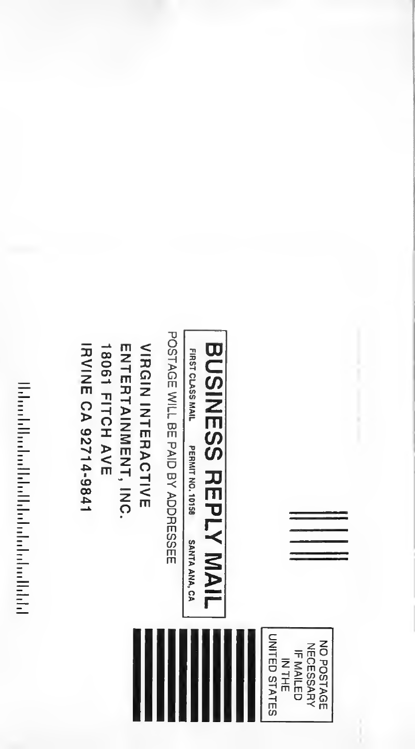# **Motor Charles Charles Charles And Address**

IRVINE CA 92714-9841 **ENTERTAINMENT, INC. VIRGIN INTERACTIVE 18061 FITCH AVE** 

POSTAGE WILL BE PAID BY ADDRESSEE

FIRST CLASS MAIL PERMIT NO. 10158 SANTA ANA, CA

BUSINESS REPLY MAIL

UNITED STATES NO POSTAGE **NECESSARY IF MAILED NTHE**